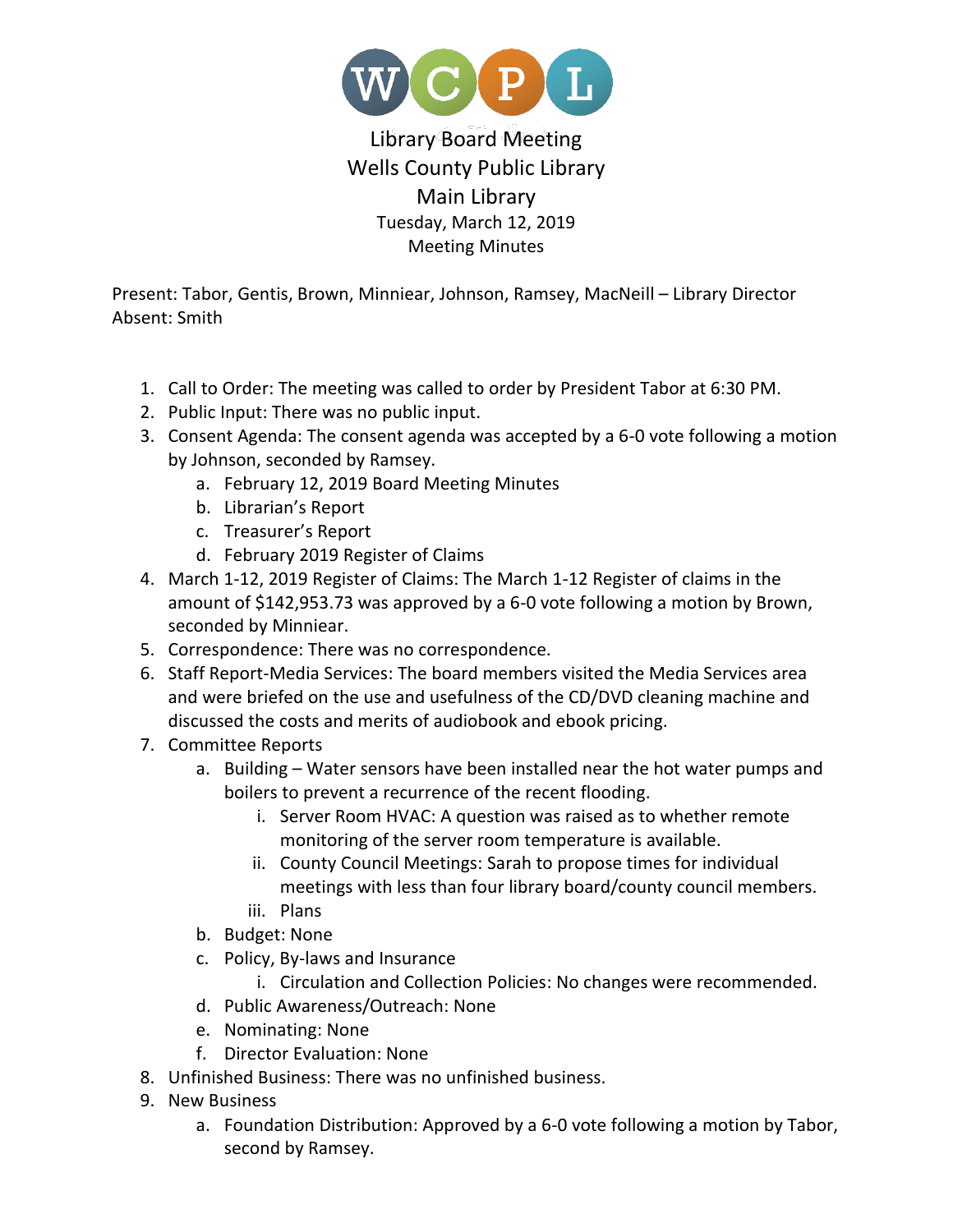

## Library Board Meeting Wells County Public Library Main Library Tuesday, March 12, 2019 Meeting Minutes

Present: Tabor, Gentis, Brown, Minniear, Johnson, Ramsey, MacNeill – Library Director Absent: Smith

- 1. Call to Order: The meeting was called to order by President Tabor at 6:30 PM.
- 2. Public Input: There was no public input.
- 3. Consent Agenda: The consent agenda was accepted by a 6-0 vote following a motion by Johnson, seconded by Ramsey.
	- a. February 12, 2019 Board Meeting Minutes
	- b. Librarian's Report
	- c. Treasurer's Report
	- d. February 2019 Register of Claims
- 4. March 1-12, 2019 Register of Claims: The March 1-12 Register of claims in the amount of \$142,953.73 was approved by a 6-0 vote following a motion by Brown, seconded by Minniear.
- 5. Correspondence: There was no correspondence.
- 6. Staff Report-Media Services: The board members visited the Media Services area and were briefed on the use and usefulness of the CD/DVD cleaning machine and discussed the costs and merits of audiobook and ebook pricing.
- 7. Committee Reports
	- a. Building Water sensors have been installed near the hot water pumps and boilers to prevent a recurrence of the recent flooding.
		- i. Server Room HVAC: A question was raised as to whether remote monitoring of the server room temperature is available.
		- ii. County Council Meetings: Sarah to propose times for individual meetings with less than four library board/county council members.
		- iii. Plans
	- b. Budget: None
	- c. Policy, By-laws and Insurance
		- i. Circulation and Collection Policies: No changes were recommended.
	- d. Public Awareness/Outreach: None
	- e. Nominating: None
	- f. Director Evaluation: None
- 8. Unfinished Business: There was no unfinished business.
- 9. New Business
	- a. Foundation Distribution: Approved by a 6-0 vote following a motion by Tabor, second by Ramsey.